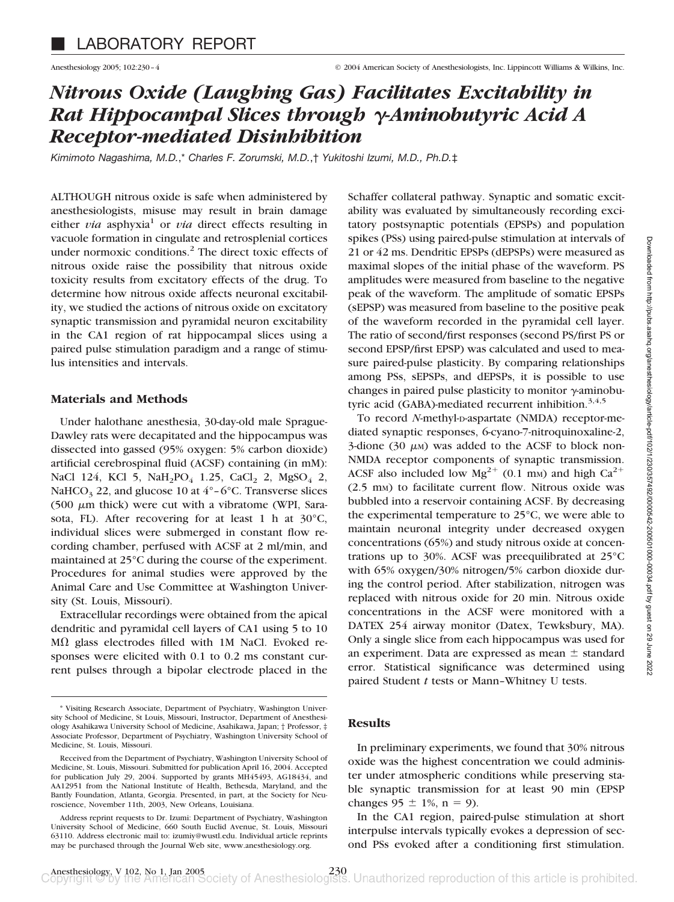# *Nitrous Oxide (Laughing Gas) Facilitates Excitability in Rat Hippocampal Slices through -Aminobutyric Acid A Receptor-mediated Disinhibition*

*Kimimoto Nagashima, M.D.*,\* *Charles F. Zorumski, M.D.*,† *Yukitoshi Izumi, M.D., Ph.D.*‡

ALTHOUGH nitrous oxide is safe when administered by anesthesiologists, misuse may result in brain damage either  $via$  asphyxia<sup>1</sup> or  $via$  direct effects resulting in vacuole formation in cingulate and retrosplenial cortices under normoxic conditions.<sup>2</sup> The direct toxic effects of nitrous oxide raise the possibility that nitrous oxide toxicity results from excitatory effects of the drug. To determine how nitrous oxide affects neuronal excitability, we studied the actions of nitrous oxide on excitatory synaptic transmission and pyramidal neuron excitability in the CA1 region of rat hippocampal slices using a paired pulse stimulation paradigm and a range of stimulus intensities and intervals.

## **Materials and Methods**

Under halothane anesthesia, 30-day-old male Sprague-Dawley rats were decapitated and the hippocampus was dissected into gassed (95% oxygen: 5% carbon dioxide) artificial cerebrospinal fluid (ACSF) containing (in mM): NaCl 124, KCl 5, NaH<sub>2</sub>PO<sub>4</sub> 1.25, CaCl<sub>2</sub> 2, MgSO<sub>4</sub> 2, NaHCO<sub>3</sub> 22, and glucose 10 at  $4^{\circ}$ –6°C. Transverse slices (500  $\mu$ m thick) were cut with a vibratome (WPI, Sarasota, FL). After recovering for at least 1 h at 30°C, individual slices were submerged in constant flow recording chamber, perfused with ACSF at 2 ml/min, and maintained at 25°C during the course of the experiment. Procedures for animal studies were approved by the Animal Care and Use Committee at Washington University (St. Louis, Missouri).

Extracellular recordings were obtained from the apical dendritic and pyramidal cell layers of CA1 using 5 to 10  $M\Omega$  glass electrodes filled with 1M NaCl. Evoked responses were elicited with 0.1 to 0.2 ms constant current pulses through a bipolar electrode placed in the

Schaffer collateral pathway. Synaptic and somatic excitability was evaluated by simultaneously recording excitatory postsynaptic potentials (EPSPs) and population spikes (PSs) using paired-pulse stimulation at intervals of 21 or 42 ms. Dendritic EPSPs (dEPSPs) were measured as maximal slopes of the initial phase of the waveform. PS amplitudes were measured from baseline to the negative peak of the waveform. The amplitude of somatic EPSPs (sEPSP) was measured from baseline to the positive peak of the waveform recorded in the pyramidal cell layer. The ratio of second/first responses (second PS/first PS or second EPSP/first EPSP) was calculated and used to measure paired-pulse plasticity. By comparing relationships among PSs, sEPSPs, and dEPSPs, it is possible to use changes in paired pulse plasticity to monitor  $\gamma$ -aminobutyric acid (GABA)-mediated recurrent inhibition. $3,4,5$ 

To record *N*-methyl-D-aspartate (NMDA) receptor-mediated synaptic responses, 6-cyano-7-nitroquinoxaline-2, 3-dione (30  $\mu$ M) was added to the ACSF to block non-NMDA receptor components of synaptic transmission. ACSF also included low  $Mg^{2+}$  (0.1 mm) and high Ca<sup>2+</sup> (2.5 mM) to facilitate current flow. Nitrous oxide was bubbled into a reservoir containing ACSF. By decreasing the experimental temperature to 25°C, we were able to maintain neuronal integrity under decreased oxygen concentrations (65%) and study nitrous oxide at concentrations up to 30%. ACSF was preequilibrated at 25°C with 65% oxygen/30% nitrogen/5% carbon dioxide during the control period. After stabilization, nitrogen was replaced with nitrous oxide for 20 min. Nitrous oxide concentrations in the ACSF were monitored with a DATEX 254 airway monitor (Datex, Tewksbury, MA). Only a single slice from each hippocampus was used for an experiment. Data are expressed as mean  $\pm$  standard error. Statistical significance was determined using paired Student *t* tests or Mann–Whitney U tests.

## **Results**

In preliminary experiments, we found that 30% nitrous oxide was the highest concentration we could administer under atmospheric conditions while preserving stable synaptic transmission for at least 90 min (EPSP changes  $95 \pm 1\%$ , n = 9).

In the CA1 region, paired-pulse stimulation at short interpulse intervals typically evokes a depression of second PSs evoked after a conditioning first stimulation.

<sup>\*</sup> Visiting Research Associate, Department of Psychiatry, Washington University School of Medicine, St Louis, Missouri, Instructor, Department of Anesthesiology Asahikawa University School of Medicine, Asahikawa, Japan; † Professor, ‡ Associate Professor, Department of Psychiatry, Washington University School of Medicine, St. Louis, Missouri.

Received from the Department of Psychiatry, Washington University School of Medicine, St. Louis, Missouri. Submitted for publication April 16, 2004. Accepted for publication July 29, 2004. Supported by grants MH45493, AG18434, and AA12951 from the National Institute of Health, Bethesda, Maryland, and the Bantly Foundation, Atlanta, Georgia. Presented, in part, at the Society for Neuroscience, November 11th, 2003, New Orleans, Louisiana.

Address reprint requests to Dr. Izumi: Department of Psychiatry, Washington University School of Medicine, 660 South Euclid Avenue, St. Louis, Missouri 63110. Address electronic mail to: izumiy@wustl.edu. Individual article reprints may be purchased through the Journal Web site, www.anesthesiology.org.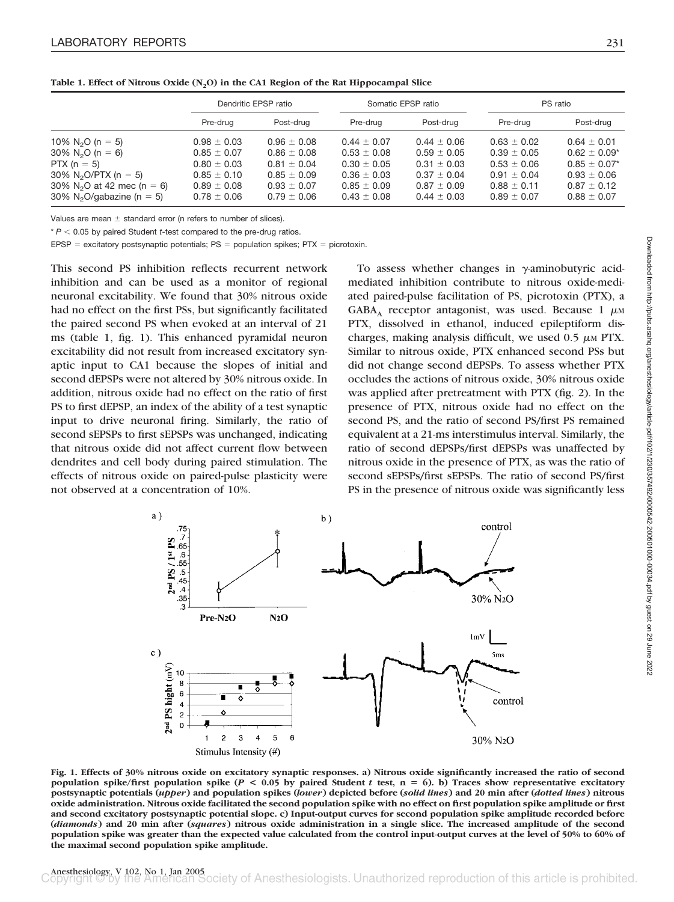|                                        | Dendritic EPSP ratio |                 | Somatic EPSP ratio |                 | PS ratio        |                              |
|----------------------------------------|----------------------|-----------------|--------------------|-----------------|-----------------|------------------------------|
|                                        | Pre-drug             | Post-drug       | Pre-drug           | Post-drug       | Pre-drug        | Post-drug                    |
| 10% N <sub>2</sub> O (n = 5)           | $0.98 \pm 0.03$      | $0.96 \pm 0.08$ | $0.44 \pm 0.07$    | $0.44 \pm 0.06$ | $0.63 \pm 0.02$ | $0.64 \pm 0.01$              |
| $30\%$ N <sub>2</sub> O (n = 6)        | $0.85 \pm 0.07$      | $0.86 \pm 0.08$ | $0.53 \pm 0.08$    | $0.59 \pm 0.05$ | $0.39 \pm 0.05$ | $0.62 \pm 0.09$ <sup>*</sup> |
| PTX ( $n = 5$ )                        | $0.80 \pm 0.03$      | $0.81 \pm 0.04$ | $0.30 \pm 0.05$    | $0.31 \pm 0.03$ | $0.53 \pm 0.06$ | $0.85 \pm 0.07$ *            |
| 30% N <sub>2</sub> O/PTX (n = 5)       | $0.85 \pm 0.10$      | $0.85 \pm 0.09$ | $0.36 \pm 0.03$    | $0.37 \pm 0.04$ | $0.91 \pm 0.04$ | $0.93 \pm 0.06$              |
| 30% N <sub>2</sub> O at 42 mec (n = 6) | $0.89 \pm 0.08$      | $0.93 \pm 0.07$ | $0.85 \pm 0.09$    | $0.87 \pm 0.09$ | $0.88 \pm 0.11$ | $0.87 \pm 0.12$              |
| 30% N <sub>2</sub> O/gabazine (n = 5)  | $0.78 \pm 0.06$      | $0.79 \pm 0.06$ | $0.43 \pm 0.08$    | $0.44 \pm 0.03$ | $0.89 \pm 0.07$ | $0.88 \pm 0.07$              |

Table 1. Effect of Nitrous Oxide (N<sub>2</sub>O) in the CA1 Region of the Rat Hippocampal Slice

Values are mean  $\pm$  standard error (n refers to number of slices).

 $* P < 0.05$  by paired Student *t*-test compared to the pre-drug ratios.

EPSP = excitatory postsynaptic potentials;  $PS =$  population spikes;  $PTX =$  picrotoxin.

This second PS inhibition reflects recurrent network inhibition and can be used as a monitor of regional neuronal excitability. We found that 30% nitrous oxide had no effect on the first PSs, but significantly facilitated the paired second PS when evoked at an interval of 21 ms (table 1, fig. 1). This enhanced pyramidal neuron excitability did not result from increased excitatory synaptic input to CA1 because the slopes of initial and second dEPSPs were not altered by 30% nitrous oxide. In addition, nitrous oxide had no effect on the ratio of first PS to first dEPSP, an index of the ability of a test synaptic input to drive neuronal firing. Similarly, the ratio of second sEPSPs to first sEPSPs was unchanged, indicating that nitrous oxide did not affect current flow between dendrites and cell body during paired stimulation. The effects of nitrous oxide on paired-pulse plasticity were not observed at a concentration of 10%.

To assess whether changes in  $\gamma$ -aminobutyric acidmediated inhibition contribute to nitrous oxide-mediated paired-pulse facilitation of PS, picrotoxin (PTX), a  $GABA_A$  receptor antagonist, was used. Because 1  $\mu$ M PTX, dissolved in ethanol, induced epileptiform discharges, making analysis difficult, we used  $0.5 \mu M$  PTX. Similar to nitrous oxide, PTX enhanced second PSs but did not change second dEPSPs. To assess whether PTX occludes the actions of nitrous oxide, 30% nitrous oxide was applied after pretreatment with PTX (fig. 2). In the presence of PTX, nitrous oxide had no effect on the second PS, and the ratio of second PS/first PS remained equivalent at a 21-ms interstimulus interval. Similarly, the ratio of second dEPSPs/first dEPSPs was unaffected by nitrous oxide in the presence of PTX, as was the ratio of second sEPSPs/first sEPSPs. The ratio of second PS/first PS in the presence of nitrous oxide was significantly less



**Fig. 1. Effects of 30% nitrous oxide on excitatory synaptic responses. a) Nitrous oxide significantly increased the ratio of second population spike/first population spike (***P* **< 0.05 by paired Student** *t* **test, n** - **6). b) Traces show representative excitatory postsynaptic potentials (***upper***) and population spikes (***lower***) depicted before (***solid lines***) and 20 min after (***dotted lines***) nitrous oxide administration. Nitrous oxide facilitated the second population spike with no effect on first population spike amplitude or first and second excitatory postsynaptic potential slope. c) Input-output curves for second population spike amplitude recorded before (***diamonds***) and 20 min after (***squares***) nitrous oxide administration in a single slice. The increased amplitude of the second population spike was greater than the expected value calculated from the control input-output curves at the level of 50% to 60% of the maximal second population spike amplitude.**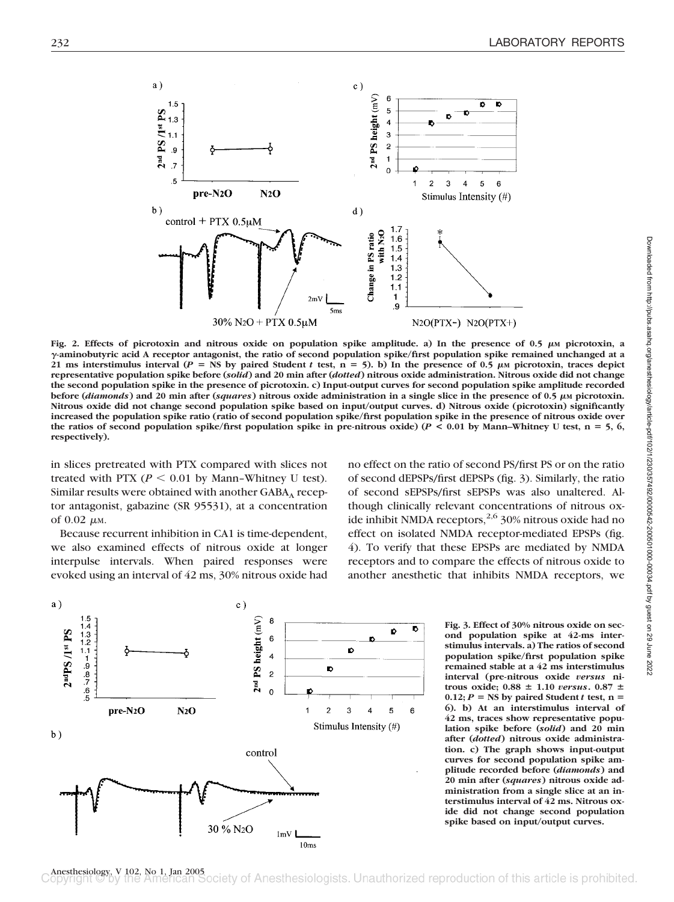

Fig. 2. Effects of picrotoxin and nitrous oxide on population spike amplitude. a) In the presence of 0.5  $\mu$ M picrotoxin, a **-aminobutyric acid A receptor antagonist, the ratio of second population spike/first population spike remained unchanged at a** 21 ms interstimulus interval ( $P = \text{NS}$  by paired Student *t* test,  $n = 5$ ). b) In the presence of 0.5  $\mu$ M picrotoxin, traces depict **representative population spike before (***solid***) and 20 min after (***dotted***) nitrous oxide administration. Nitrous oxide did not change the second population spike in the presence of picrotoxin. c) Input-output curves for second population spike amplitude recorded before (***diamonds***) and 20 min after (***squares***) nitrous oxide administration in a single slice in the presence of 0.5**  $\mu$ **M picrotoxin. Nitrous oxide did not change second population spike based on input/output curves. d) Nitrous oxide (picrotoxin) significantly increased the population spike ratio (ratio of second population spike/first population spike in the presence of nitrous oxide over the ratios of second population spike/first population spike in pre-nitrous oxide) (***P* **< 0.01 by Mann–Whitney U test, n** - **5, 6, respectively).**

in slices pretreated with PTX compared with slices not treated with PTX ( $P < 0.01$  by Mann-Whitney U test). Similar results were obtained with another  $GABA<sub>A</sub>$  receptor antagonist, gabazine (SR 95531), at a concentration of  $0.02 \mu$ M.

Because recurrent inhibition in CA1 is time-dependent, we also examined effects of nitrous oxide at longer interpulse intervals. When paired responses were evoked using an interval of 42 ms, 30% nitrous oxide had

no effect on the ratio of second PS/first PS or on the ratio of second dEPSPs/first dEPSPs (fig. 3). Similarly, the ratio of second sEPSPs/first sEPSPs was also unaltered. Although clinically relevant concentrations of nitrous oxide inhibit NMDA receptors,  $2,6$  30% nitrous oxide had no effect on isolated NMDA receptor-mediated EPSPs (fig. 4). To verify that these EPSPs are mediated by NMDA receptors and to compare the effects of nitrous oxide to another anesthetic that inhibits NMDA receptors, we



**Fig. 3. Effect of 30% nitrous oxide on second population spike at 42-ms interstimulus intervals. a) The ratios of second population spike/first population spike remained stable at a 42 ms interstimulus interval (pre-nitrous oxide** *versus* **nitrous oxide; 0.88**  $\pm$  1.10 *versus***.** 0.87  $\pm$  $0.12; P =$  NS by paired Student *t* test, n = **6). b) At an interstimulus interval of 42 ms, traces show representative population spike before (***solid***) and 20 min after (***dotted***) nitrous oxide administration. c) The graph shows input-output curves for second population spike amplitude recorded before (***diamonds***) and 20 min after (***squares***) nitrous oxide administration from a single slice at an interstimulus interval of 42 ms. Nitrous oxide did not change second population spike based on input/output curves.**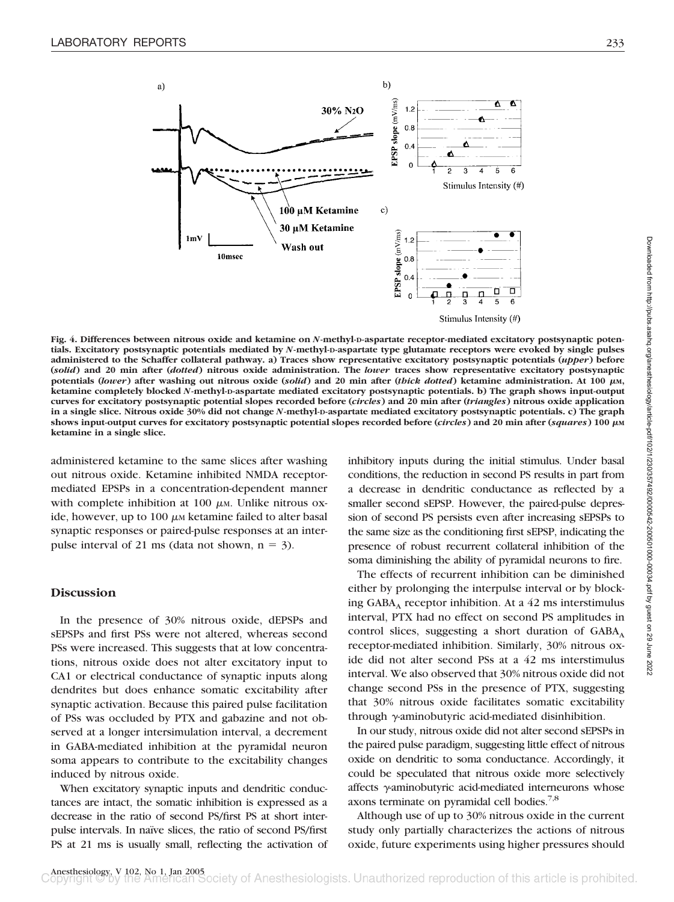

**Fig. 4. Differences between nitrous oxide and ketamine on** *N***-methyl-D-aspartate receptor-mediated excitatory postsynaptic potentials. Excitatory postsynaptic potentials mediated by** *N***-methyl-D-aspartate type glutamate receptors were evoked by single pulses administered to the Schaffer collateral pathway. a) Traces show representative excitatory postsynaptic potentials (***upper***) before (***solid***) and 20 min after (***dotted***) nitrous oxide administration. The** *lower* **traces show representative excitatory postsynaptic potentials (***lower***) after washing out nitrous oxide (***solid***) and 20 min after (***thick dotted***) ketamine administration. At 100 M, ketamine completely blocked** *N***-methyl-D-aspartate mediated excitatory postsynaptic potentials. b) The graph shows input-output curves for excitatory postsynaptic potential slopes recorded before (***circles***) and 20 min after (***triangles***) nitrous oxide application in a single slice. Nitrous oxide 30% did not change** *N***-methyl-D-aspartate mediated excitatory postsynaptic potentials. c) The graph shows input-output curves for excitatory postsynaptic potential slopes recorded before (***circles***) and 20 min after (***squares***) 100 M ketamine in a single slice.**

administered ketamine to the same slices after washing out nitrous oxide. Ketamine inhibited NMDA receptormediated EPSPs in a concentration-dependent manner with complete inhibition at 100  $\mu$ M. Unlike nitrous oxide, however, up to  $100 \mu$ M ketamine failed to alter basal synaptic responses or paired-pulse responses at an interpulse interval of 21 ms (data not shown,  $n = 3$ ).

## **Discussion**

In the presence of 30% nitrous oxide, dEPSPs and sEPSPs and first PSs were not altered, whereas second PSs were increased. This suggests that at low concentrations, nitrous oxide does not alter excitatory input to CA1 or electrical conductance of synaptic inputs along dendrites but does enhance somatic excitability after synaptic activation. Because this paired pulse facilitation of PSs was occluded by PTX and gabazine and not observed at a longer intersimulation interval, a decrement in GABA-mediated inhibition at the pyramidal neuron soma appears to contribute to the excitability changes induced by nitrous oxide.

When excitatory synaptic inputs and dendritic conductances are intact, the somatic inhibition is expressed as a decrease in the ratio of second PS/first PS at short interpulse intervals. In naïve slices, the ratio of second PS/first PS at 21 ms is usually small, reflecting the activation of

inhibitory inputs during the initial stimulus. Under basal conditions, the reduction in second PS results in part from a decrease in dendritic conductance as reflected by a smaller second sEPSP. However, the paired-pulse depression of second PS persists even after increasing sEPSPs to the same size as the conditioning first sEPSP, indicating the presence of robust recurrent collateral inhibition of the soma diminishing the ability of pyramidal neurons to fire.

The effects of recurrent inhibition can be diminished either by prolonging the interpulse interval or by blocking  $GABA_A$  receptor inhibition. At a 42 ms interstimulus interval, PTX had no effect on second PS amplitudes in control slices, suggesting a short duration of  $GABA_A$ receptor-mediated inhibition. Similarly, 30% nitrous oxide did not alter second PSs at a 42 ms interstimulus interval. We also observed that 30% nitrous oxide did not change second PSs in the presence of PTX, suggesting that 30% nitrous oxide facilitates somatic excitability through y-aminobutyric acid-mediated disinhibition.

In our study, nitrous oxide did not alter second sEPSPs in the paired pulse paradigm, suggesting little effect of nitrous oxide on dendritic to soma conductance. Accordingly, it could be speculated that nitrous oxide more selectively affects  $\gamma$ -aminobutyric acid-mediated interneurons whose axons terminate on pyramidal cell bodies. $7,8$ 

Although use of up to 30% nitrous oxide in the current study only partially characterizes the actions of nitrous oxide, future experiments using higher pressures should